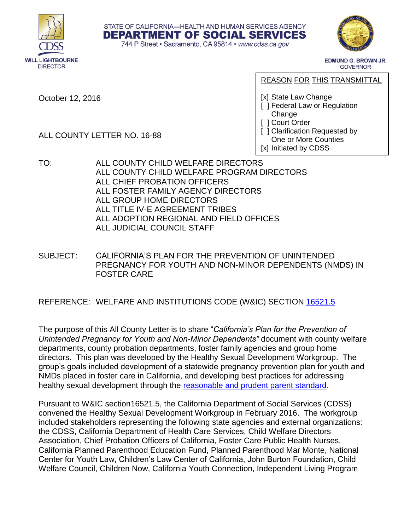



**EDMUND G. BROWN JR. GOVERNOR** 

October 12, 2016

REASON FOR THIS TRANSMITTAL

[x] State Law Change

- [ ] Federal Law or Regulation Change
- [ ] Court Order
- [ ] Clarification Requested by One or More Counties [x] Initiated by CDSS
- ALL COUNTY LETTER NO. 16-88
- TO: ALL COUNTY CHILD WELFARE DIRECTORS ALL COUNTY CHILD WELFARE PROGRAM DIRECTORS ALL CHIEF PROBATION OFFICERS ALL FOSTER FAMILY AGENCY DIRECTORS ALL GROUP HOME DIRECTORS ALL TITLE IV-E AGREEMENT TRIBES ALL ADOPTION REGIONAL AND FIELD OFFICES ALL JUDICIAL COUNCIL STAFF
- SUBJECT: CALIFORNIA'S PLAN FOR THE PREVENTION OF UNINTENDED PREGNANCY FOR YOUTH AND NON-MINOR DEPENDENTS (NMDS) IN FOSTER CARE

STATE OF CALIFORNIA-HEALTH AND HUMAN SERVICES AGENCY **DEPARTMENT OF SOCIAL SERVICES** 744 P Street · Sacramento, CA 95814 · www.cdss.ca.gov

# REFERENCE: WELFARE AND INSTITUTIONS CODE (W&IC) SECTION [16521.5](http://leginfo.legislature.ca.gov/faces/codes_displaySection.xhtml?lawCode=WIC§ionNum=16521.5.)

The purpose of this All County Letter is to share "*California's Plan for the Prevention of Unintended Pregnancy for Youth and Non-Minor Dependents"* document with county welfare departments, county probation departments, foster family agencies and group home directors. This plan was developed by the Healthy Sexual Development Workgroup. The group's goals included development of a statewide pregnancy prevention plan for youth and NMDs placed in foster care in California, and developing best practices for addressing healthy sexual development through the [reasonable and prudent parent standard.](http://www.dss.cahwnet.gov/lettersnotices/EntRes/getinfo/acl/2016/16-31.pdf)

Pursuant to W&IC section16521.5, the California Department of Social Services (CDSS) convened the Healthy Sexual Development Workgroup in February 2016. The workgroup included stakeholders representing the following state agencies and external organizations: the CDSS, California Department of Health Care Services, Child Welfare Directors Association, Chief Probation Officers of California, Foster Care Public Health Nurses, California Planned Parenthood Education Fund, Planned Parenthood Mar Monte, National Center for Youth Law, Children's Law Center of California, John Burton Foundation, Child Welfare Council, Children Now, California Youth Connection, Independent Living Program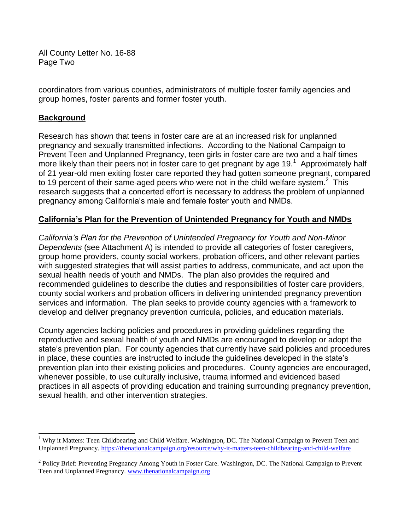All County Letter No. 16-88 Page Two

coordinators from various counties, administrators of multiple foster family agencies and group homes, foster parents and former foster youth.

### **Background**

l

Research has shown that teens in foster care are at an increased risk for unplanned pregnancy and sexually transmitted infections. According to the National Campaign to Prevent Teen and Unplanned Pregnancy, teen girls in foster care are two and a half times more likely than their peers not in foster care to get pregnant by age 19.<sup>1</sup> Approximately half of 21 year-old men exiting foster care reported they had gotten someone pregnant, compared to 19 percent of their same-aged peers who were not in the child welfare system.<sup>2</sup> This research suggests that a concerted effort is necessary to address the problem of unplanned pregnancy among California's male and female foster youth and NMDs.

# **California's Plan for the Prevention of Unintended Pregnancy for Youth and NMDs**

*California's Plan for the Prevention of Unintended Pregnancy for Youth and Non-Minor Dependents* (see Attachment A) is intended to provide all categories of foster caregivers, group home providers, county social workers, probation officers, and other relevant parties with suggested strategies that will assist parties to address, communicate, and act upon the sexual health needs of youth and NMDs. The plan also provides the required and recommended guidelines to describe the duties and responsibilities of foster care providers, county social workers and probation officers in delivering unintended pregnancy prevention services and information. The plan seeks to provide county agencies with a framework to develop and deliver pregnancy prevention curricula, policies, and education materials.

County agencies lacking policies and procedures in providing guidelines regarding the reproductive and sexual health of youth and NMDs are encouraged to develop or adopt the state's prevention plan. For county agencies that currently have said policies and procedures in place, these counties are instructed to include the guidelines developed in the state's prevention plan into their existing policies and procedures. County agencies are encouraged, whenever possible, to use culturally inclusive, trauma informed and evidenced based practices in all aspects of providing education and training surrounding pregnancy prevention, sexual health, and other intervention strategies.

<sup>&</sup>lt;sup>1</sup> Why it Matters: Teen Childbearing and Child Welfare. Washington, DC. The National Campaign to Prevent Teen and Unplanned Pregnancy.<https://thenationalcampaign.org/resource/why-it-matters-teen-childbearing-and-child-welfare>

<sup>&</sup>lt;sup>2</sup> Policy Brief: Preventing Pregnancy Among Youth in Foster Care. Washington, DC. The National Campaign to Prevent Teen and Unplanned Pregnancy[. www.thenationalcampaign.org](http://www.thenationalcampaign.org/)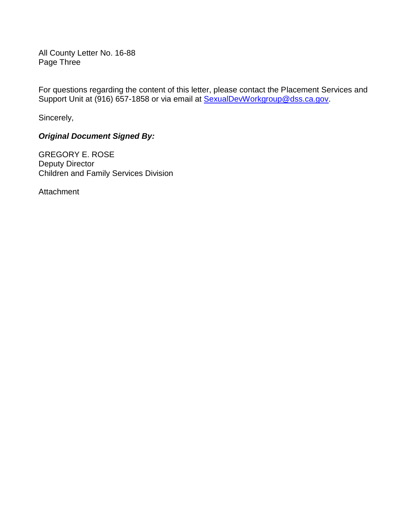All County Letter No. 16-88 Page Three

For questions regarding the content of this letter, please contact the Placement Services and Support Unit at (916) 657-1858 or via email at [SexualDevWorkgroup@dss.ca.gov.](mailto:SexualDevWorkgroup@dss.ca.gov)

Sincerely,

# *Original Document Signed By:*

GREGORY E. ROSE Deputy Director Children and Family Services Division

Attachment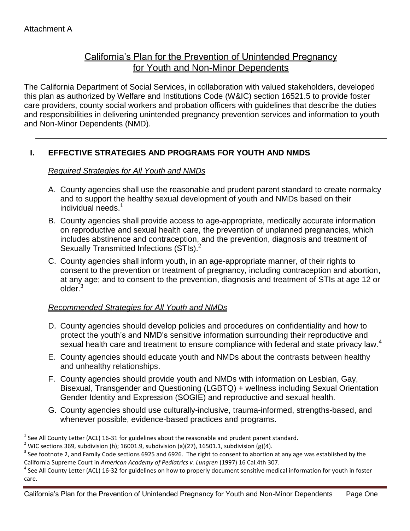$\overline{a}$ 

# California's Plan for the Prevention of Unintended Pregnancy for Youth and Non-Minor Dependents

The California Department of Social Services, in collaboration with valued stakeholders, developed this plan as authorized by Welfare and Institutions Code (W&IC) section 16521.5 to provide foster care providers, county social workers and probation officers with guidelines that describe the duties and responsibilities in delivering unintended pregnancy prevention services and information to youth and Non-Minor Dependents (NMD).

# **I. EFFECTIVE STRATEGIES AND PROGRAMS FOR YOUTH AND NMDS**

### *Required Strategies for All Youth and NMDs*

- A. County agencies shall use the reasonable and prudent parent standard to create normalcy and to support the healthy sexual development of youth and NMDs based on their individual needs.<sup>1</sup>
- B. County agencies shall provide access to age-appropriate, medically accurate information on reproductive and sexual health care, the prevention of unplanned pregnancies, which includes abstinence and contraception, and the prevention, diagnosis and treatment of Sexually Transmitted Infections (STIs).<sup>2</sup>
- C. County agencies shall inform youth, in an age-appropriate manner, of their rights to consent to the prevention or treatment of pregnancy, including contraception and abortion, at any age; and to consent to the prevention, diagnosis and treatment of STIs at age 12 or older.<sup>3</sup>

# *Recommended Strategies for All Youth and NMDs*

- D. County agencies should develop policies and procedures on confidentiality and how to protect the youth's and NMD's sensitive information surrounding their reproductive and sexual health care and treatment to ensure compliance with federal and state privacy law.<sup>4</sup>
- E. County agencies should educate youth and NMDs about the contrasts between healthy and unhealthy relationships.
- F. County agencies should provide youth and NMDs with information on Lesbian, Gay, Bisexual, Transgender and Questioning (LGBTQ) + wellness including Sexual Orientation Gender Identity and Expression (SOGIE) and reproductive and sexual health.
- G. County agencies should use culturally-inclusive, trauma-informed, strengths-based, and whenever possible, evidence-based practices and programs.

<sup>1</sup> See All County Letter (ACL) 16-31 for guidelines about the reasonable and prudent parent standard.

 $^2$  WIC sections 369, subdivision (h); 16001.9, subdivision (a)(27), 16501.1, subdivision (g)(4).

 $^3$  See footnote 2, and Family Code sections 6925 and 6926. The right to consent to abortion at any age was established by the California Supreme Court in *American Academy of Pediatrics v. Lungren* (1997) 16 Cal.4th 307.

<sup>&</sup>lt;sup>4</sup> See All County Letter (ACL) 16-32 for guidelines on how to properly document sensitive medical information for youth in foster care.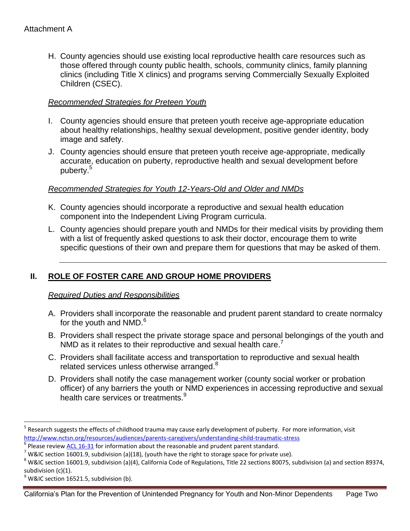H. County agencies should use existing local reproductive health care resources such as those offered through county public health, schools, community clinics, family planning clinics (including Title X clinics) and programs serving Commercially Sexually Exploited Children (CSEC).

### *Recommended Strategies for Preteen Youth*

- I. County agencies should ensure that preteen youth receive age-appropriate education about healthy relationships, healthy sexual development, positive gender identity, body image and safety.
- J. County agencies should ensure that preteen youth receive age-appropriate, medically accurate, education on puberty, reproductive health and sexual development before puberty.<sup>5</sup>

### *Recommended Strategies for Youth 12-Years-Old and Older and NMDs*

- K. County agencies should incorporate a reproductive and sexual health education component into the Independent Living Program curricula.
- L. County agencies should prepare youth and NMDs for their medical visits by providing them with a list of frequently asked questions to ask their doctor, encourage them to write specific questions of their own and prepare them for questions that may be asked of them.

# **II. ROLE OF FOSTER CARE AND GROUP HOME PROVIDERS**

### *Required Duties and Responsibilities*

- A. Providers shall incorporate the reasonable and prudent parent standard to create normalcy for the youth and NMD.<sup>6</sup>
- B. Providers shall respect the private storage space and personal belongings of the youth and NMD as it relates to their reproductive and sexual health care.<sup>7</sup>
- C. Providers shall facilitate access and transportation to reproductive and sexual health related services unless otherwise arranged.<sup>8</sup>
- D. Providers shall notify the case management worker (county social worker or probation officer) of any barriers the youth or NMD experiences in accessing reproductive and sexual health care services or treatments.<sup>9</sup>

 $\overline{\phantom{a}}$ 

<sup>&</sup>lt;sup>5</sup> Research suggests the effects of childhood trauma may cause early development of puberty. For more information, visit <http://www.nctsn.org/resources/audiences/parents-caregivers/understanding-child-traumatic-stress>

 $<sup>6</sup>$  Please review <u>ACL 16-31</u> for information about the reasonable and prudent parent standard.</sup>

<sup>&</sup>lt;sup>7</sup> W&IC section 16001.9, subdivision (a)(18), (youth have the right to storage space for private use).

 $^8$  W&IC section 16001.9, subdivision (a)(4), California Code of Regulations, Title 22 sections 80075, subdivision (a) and section 89374, subdivision (c)(1).

 $^9$  W&IC section 16521.5, subdivision (b).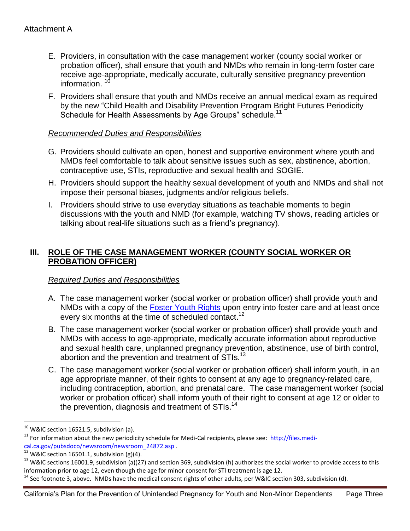- E. Providers, in consultation with the case management worker (county social worker or probation officer), shall ensure that youth and NMDs who remain in long-term foster care receive age-appropriate, medically accurate, culturally sensitive pregnancy prevention information.  $10$
- F. Providers shall ensure that youth and NMDs receive an annual medical exam as required by the new "Child Health and Disability Prevention Program Bright Futures Periodicity Schedule for Health Assessments by Age Groups" schedule.<sup>11</sup>

#### *Recommended Duties and Responsibilities*

- G. Providers should cultivate an open, honest and supportive environment where youth and NMDs feel comfortable to talk about sensitive issues such as sex, abstinence, abortion, contraceptive use, STIs, reproductive and sexual health and SOGIE.
- H. Providers should support the healthy sexual development of youth and NMDs and shall not impose their personal biases, judgments and/or religious beliefs.
- I. Providers should strive to use everyday situations as teachable moments to begin discussions with the youth and NMD (for example, watching TV shows, reading articles or talking about real-life situations such as a friend's pregnancy).

# **III. ROLE OF THE CASE MANAGEMENT WORKER (COUNTY SOCIAL WORKER OR PROBATION OFFICER)**

### *Required Duties and Responsibilities*

- A. The case management worker (social worker or probation officer) shall provide youth and NMDs with a copy of the [Foster Youth Rights](http://leginfo.legislature.ca.gov/faces/codes_displaySection.xhtml?lawCode=WIC§ionNum=16001.9.) upon entry into foster care and at least once every six months at the time of scheduled contact.<sup>12</sup>
- B. The case management worker (social worker or probation officer) shall provide youth and NMDs with access to age-appropriate, medically accurate information about reproductive and sexual health care, unplanned pregnancy prevention, abstinence, use of birth control, abortion and the prevention and treatment of STIs.<sup>13</sup>
- C. The case management worker (social worker or probation officer) shall inform youth, in an age appropriate manner, of their rights to consent at any age to pregnancy-related care, including contraception, abortion, and prenatal care. The case management worker (social worker or probation officer) shall inform youth of their right to consent at age 12 or older to the prevention, diagnosis and treatment of STIs.<sup>14</sup>

 $\overline{\phantom{a}}$ 

 $^{10}$  W&IC section 16521.5, subdivision (a).

<sup>&</sup>lt;sup>11</sup> For information about the new periodicity schedule for Medi-Cal recipients, please see: [http://files.medi](http://files.medi-cal.ca.gov/pubsdoco/newsroom/newsroom_24872.asp)[cal.ca.gov/pubsdoco/newsroom/newsroom\\_24872.asp .](http://files.medi-cal.ca.gov/pubsdoco/newsroom/newsroom_24872.asp)

W&IC section 16501.1, subdivision  $(g)(4)$ .

 $13$  W&IC sections 16001.9, subdivision (a)(27) and section 369, subdivision (h) authorizes the social worker to provide access to this information prior to age 12, even though the age for minor consent for STI treatment is age 12.

<sup>&</sup>lt;sup>14</sup> See footnote 3, above. NMDs have the medical consent rights of other adults, per W&IC section 303, subdivision (d).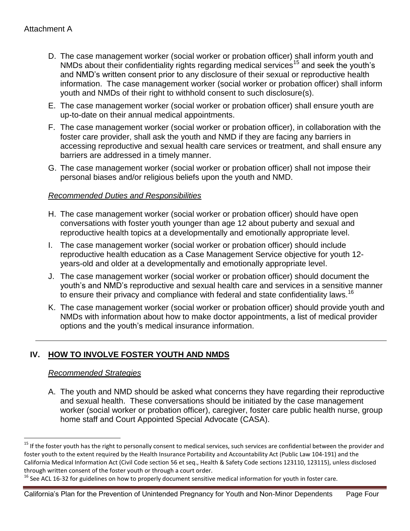- D. The case management worker (social worker or probation officer) shall inform youth and NMDs about their confidentiality rights regarding medical services<sup>15</sup> and seek the youth's and NMD's written consent prior to any disclosure of their sexual or reproductive health information. The case management worker (social worker or probation officer) shall inform youth and NMDs of their right to withhold consent to such disclosure(s).
- E. The case management worker (social worker or probation officer) shall ensure youth are up-to-date on their annual medical appointments.
- F. The case management worker (social worker or probation officer), in collaboration with the foster care provider, shall ask the youth and NMD if they are facing any barriers in accessing reproductive and sexual health care services or treatment, and shall ensure any barriers are addressed in a timely manner.
- G. The case management worker (social worker or probation officer) shall not impose their personal biases and/or religious beliefs upon the youth and NMD.

### *Recommended Duties and Responsibilities*

- H. The case management worker (social worker or probation officer) should have open conversations with foster youth younger than age 12 about puberty and sexual and reproductive health topics at a developmentally and emotionally appropriate level.
- I. The case management worker (social worker or probation officer) should include reproductive health education as a Case Management Service objective for youth 12 years-old and older at a developmentally and emotionally appropriate level.
- J. The case management worker (social worker or probation officer) should document the youth's and NMD's reproductive and sexual health care and services in a sensitive manner to ensure their privacy and compliance with federal and state confidentiality laws.<sup>16</sup>
- K. The case management worker (social worker or probation officer) should provide youth and NMDs with information about how to make doctor appointments, a list of medical provider options and the youth's medical insurance information.

# **IV. HOW TO INVOLVE FOSTER YOUTH AND NMDS**

### *Recommended Strategies*

l

A. The youth and NMD should be asked what concerns they have regarding their reproductive and sexual health. These conversations should be initiated by the case management worker (social worker or probation officer), caregiver, foster care public health nurse, group home staff and Court Appointed Special Advocate (CASA).

California's Plan for the Prevention of Unintended Pregnancy for Youth and Non-Minor Dependents Page Four

<sup>&</sup>lt;sup>15</sup> If the foster youth has the right to personally consent to medical services, such services are confidential between the provider and foster youth to the extent required by the Health Insurance Portability and Accountability Act (Public Law 104-191) and the California Medical Information Act (Civil Code section 56 et seq., Health & Safety Code sections 123110, 123115), unless disclosed through written consent of the foster youth or through a court order.

 $^{16}$  See ACL 16-32 for guidelines on how to properly document sensitive medical information for youth in foster care.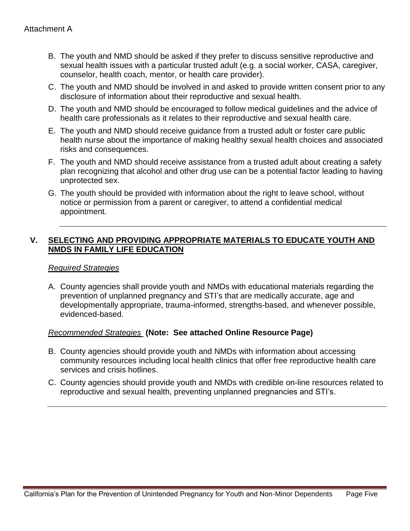- B. The youth and NMD should be asked if they prefer to discuss sensitive reproductive and sexual health issues with a particular trusted adult (e.g. a social worker, CASA, caregiver, counselor, health coach, mentor, or health care provider).
- C. The youth and NMD should be involved in and asked to provide written consent prior to any disclosure of information about their reproductive and sexual health.
- D. The youth and NMD should be encouraged to follow medical guidelines and the advice of health care professionals as it relates to their reproductive and sexual health care.
- E. The youth and NMD should receive guidance from a trusted adult or foster care public health nurse about the importance of making healthy sexual health choices and associated risks and consequences.
- F. The youth and NMD should receive assistance from a trusted adult about creating a safety plan recognizing that alcohol and other drug use can be a potential factor leading to having unprotected sex.
- G. The youth should be provided with information about the right to leave school, without notice or permission from a parent or caregiver, to attend a confidential medical appointment.

# **V. SELECTING AND PROVIDING APPROPRIATE MATERIALS TO EDUCATE YOUTH AND NMDS IN FAMILY LIFE EDUCATION**

### *Required Strategies*

A. County agencies shall provide youth and NMDs with educational materials regarding the prevention of unplanned pregnancy and STI's that are medically accurate, age and developmentally appropriate, trauma-informed, strengths-based, and whenever possible, evidenced-based.

### *Recommended Strategies* **(Note: See attached Online Resource Page)**

- B. County agencies should provide youth and NMDs with information about accessing community resources including local health clinics that offer free reproductive health care services and crisis hotlines.
- C. County agencies should provide youth and NMDs with credible on-line resources related to reproductive and sexual health, preventing unplanned pregnancies and STI's.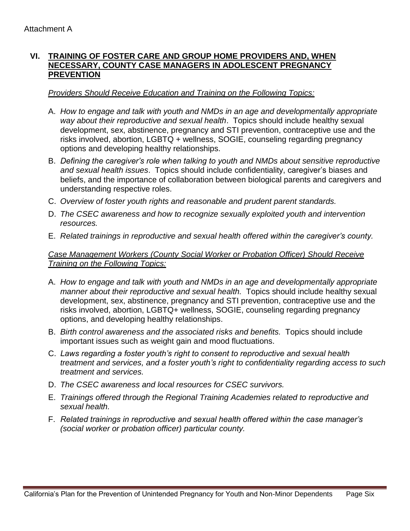# **VI. TRAINING OF FOSTER CARE AND GROUP HOME PROVIDERS AND, WHEN NECESSARY, COUNTY CASE MANAGERS IN ADOLESCENT PREGNANCY PREVENTION**

#### *Providers Should Receive Education and Training on the Following Topics:*

- A. *How to engage and talk with youth and NMDs in an age and developmentally appropriate way about their reproductive and sexual health*. Topics should include healthy sexual development, sex, abstinence, pregnancy and STI prevention, contraceptive use and the risks involved, abortion, LGBTQ + wellness, SOGIE, counseling regarding pregnancy options and developing healthy relationships.
- B. *Defining the caregiver's role when talking to youth and NMDs about sensitive reproductive and sexual health issues*. Topics should include confidentiality, caregiver's biases and beliefs, and the importance of collaboration between biological parents and caregivers and understanding respective roles.
- C. *Overview of foster youth rights and reasonable and prudent parent standards.*
- D. *The CSEC awareness and how to recognize sexually exploited youth and intervention resources.*
- E. *Related trainings in reproductive and sexual health offered within the caregiver's county.*

### *Case Management Workers (County Social Worker or Probation Officer) Should Receive Training on the Following Topics:*

- A. *How to engage and talk with youth and NMDs in an age and developmentally appropriate manner about their reproductive and sexual health.* Topics should include healthy sexual development, sex, abstinence, pregnancy and STI prevention, contraceptive use and the risks involved, abortion, LGBTQ+ wellness, SOGIE, counseling regarding pregnancy options, and developing healthy relationships.
- B. *Birth control awareness and the associated risks and benefits.* Topics should include important issues such as weight gain and mood fluctuations.
- C. *Laws regarding a foster youth's right to consent to reproductive and sexual health treatment and services, and a foster youth's right to confidentiality regarding access to such treatment and services.*
- D. *The CSEC awareness and local resources for CSEC survivors.*
- E. *Trainings offered through the Regional Training Academies related to reproductive and sexual health.*
- F. *Related trainings in reproductive and sexual health offered within the case manager's (social worker or probation officer) particular county.*